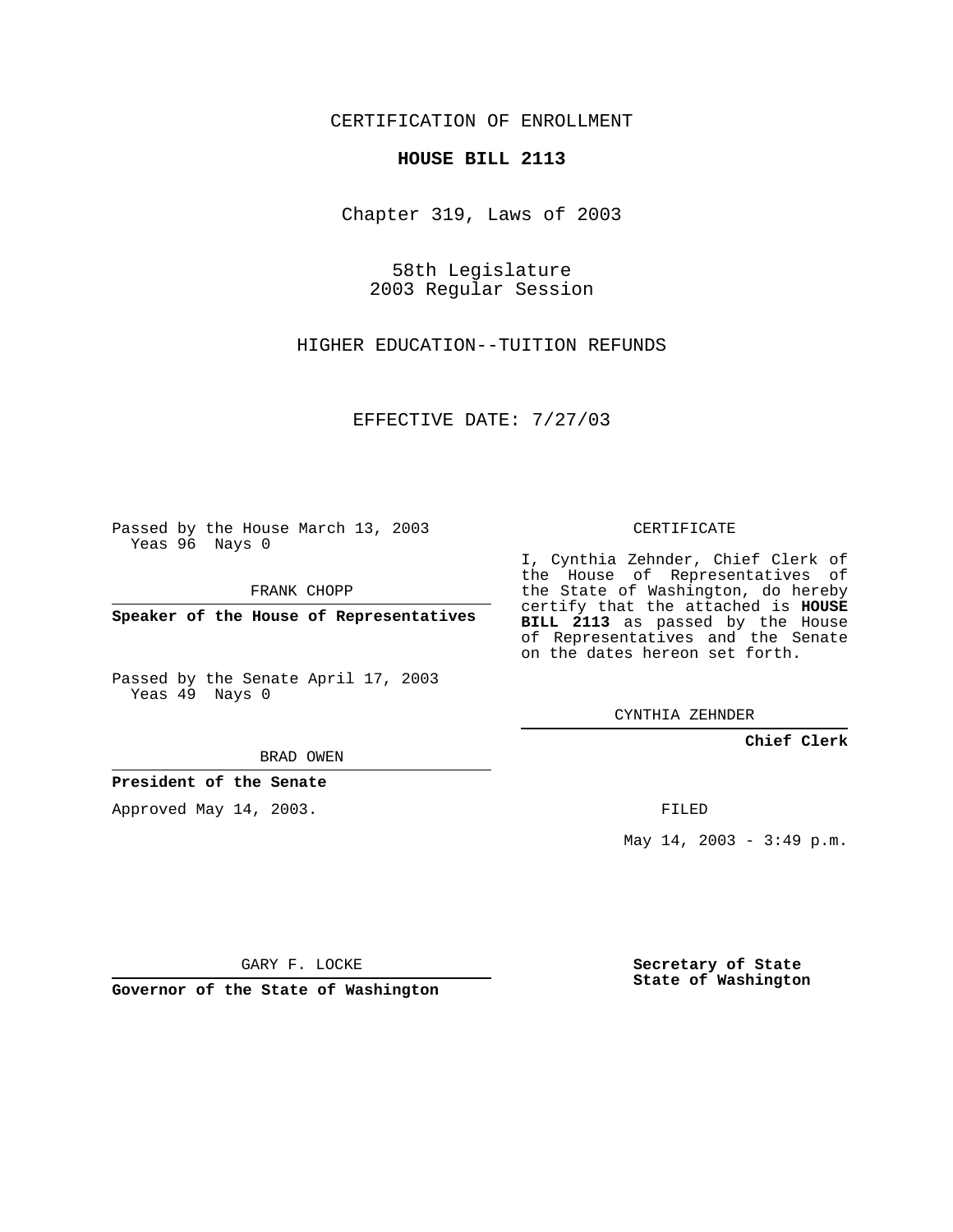CERTIFICATION OF ENROLLMENT

## **HOUSE BILL 2113**

Chapter 319, Laws of 2003

58th Legislature 2003 Regular Session

HIGHER EDUCATION--TUITION REFUNDS

EFFECTIVE DATE: 7/27/03

Passed by the House March 13, 2003 Yeas 96 Nays 0

FRANK CHOPP

**Speaker of the House of Representatives**

Passed by the Senate April 17, 2003 Yeas 49 Nays 0

BRAD OWEN

**President of the Senate**

Approved May 14, 2003.

CERTIFICATE

I, Cynthia Zehnder, Chief Clerk of the House of Representatives of the State of Washington, do hereby certify that the attached is **HOUSE BILL 2113** as passed by the House of Representatives and the Senate on the dates hereon set forth.

CYNTHIA ZEHNDER

**Chief Clerk**

FILED

May  $14$ ,  $2003 - 3:49$  p.m.

GARY F. LOCKE

**Governor of the State of Washington**

**Secretary of State State of Washington**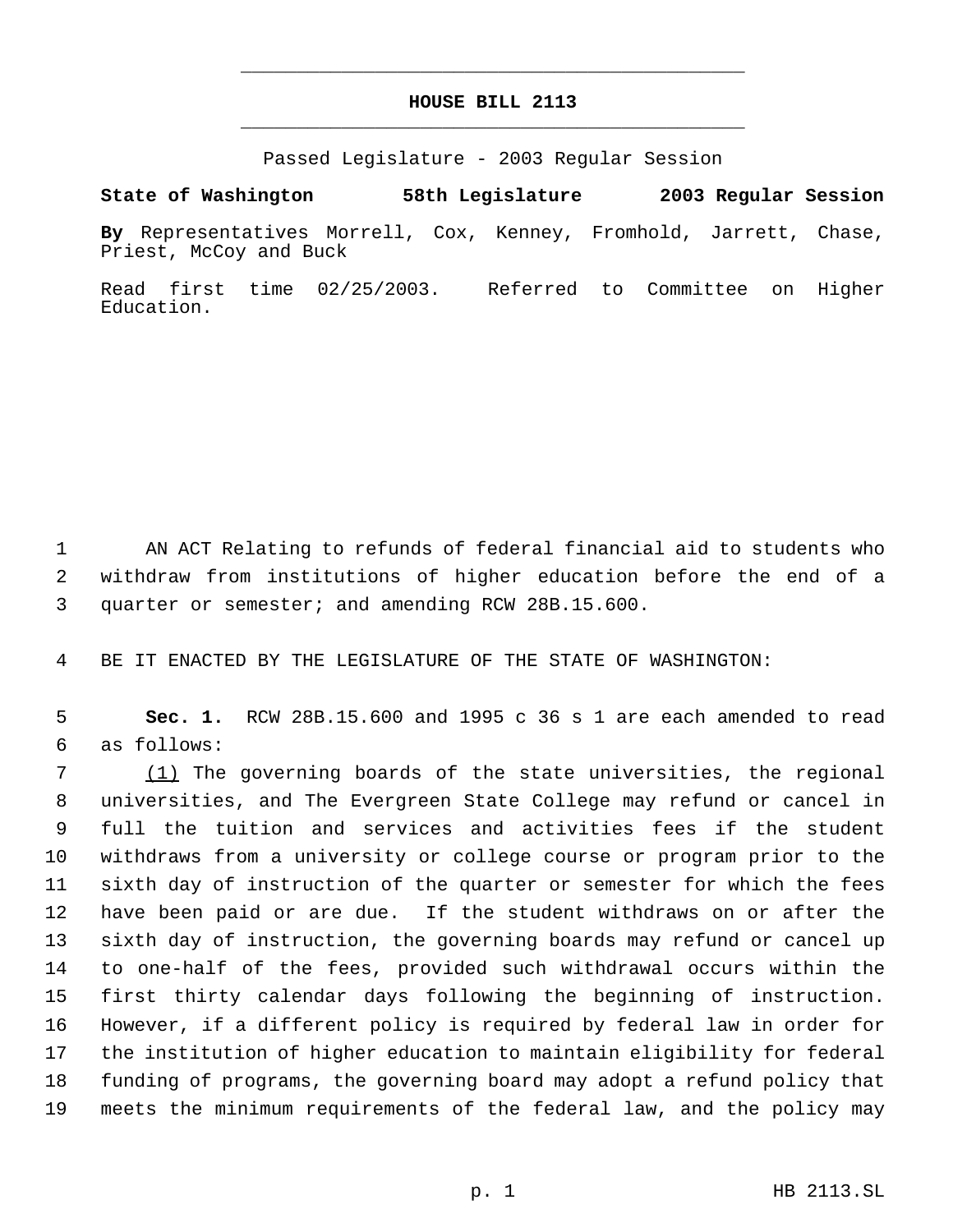## **HOUSE BILL 2113** \_\_\_\_\_\_\_\_\_\_\_\_\_\_\_\_\_\_\_\_\_\_\_\_\_\_\_\_\_\_\_\_\_\_\_\_\_\_\_\_\_\_\_\_\_

\_\_\_\_\_\_\_\_\_\_\_\_\_\_\_\_\_\_\_\_\_\_\_\_\_\_\_\_\_\_\_\_\_\_\_\_\_\_\_\_\_\_\_\_\_

Passed Legislature - 2003 Regular Session

**State of Washington 58th Legislature 2003 Regular Session**

**By** Representatives Morrell, Cox, Kenney, Fromhold, Jarrett, Chase, Priest, McCoy and Buck

Read first time 02/25/2003. Referred to Committee on Higher Education.

1 AN ACT Relating to refunds of federal financial aid to students who withdraw from institutions of higher education before the end of a quarter or semester; and amending RCW 28B.15.600.

BE IT ENACTED BY THE LEGISLATURE OF THE STATE OF WASHINGTON:

 **Sec. 1.** RCW 28B.15.600 and 1995 c 36 s 1 are each amended to read as follows:

 (1) The governing boards of the state universities, the regional universities, and The Evergreen State College may refund or cancel in full the tuition and services and activities fees if the student withdraws from a university or college course or program prior to the sixth day of instruction of the quarter or semester for which the fees have been paid or are due. If the student withdraws on or after the sixth day of instruction, the governing boards may refund or cancel up to one-half of the fees, provided such withdrawal occurs within the first thirty calendar days following the beginning of instruction. However, if a different policy is required by federal law in order for the institution of higher education to maintain eligibility for federal funding of programs, the governing board may adopt a refund policy that meets the minimum requirements of the federal law, and the policy may